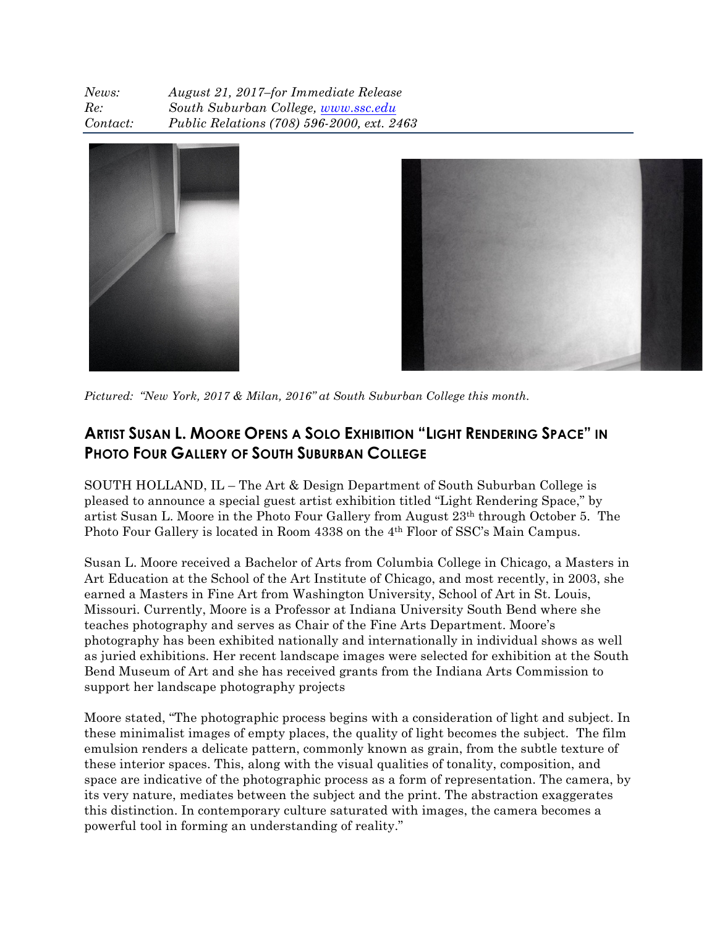| News:    | August 21, 2017-for Immediate Release      |
|----------|--------------------------------------------|
| Re:      | South Suburban College, www.ssc.edu        |
| Contact: | Public Relations (708) 596-2000, ext. 2463 |





*Pictured: "New York, 2017 & Milan, 2016" at South Suburban College this month.*

## **ARTIST SUSAN L. MOORE OPENS A SOLO EXHIBITION "LIGHT RENDERING SPACE" IN PHOTO FOUR GALLERY OF SOUTH SUBURBAN COLLEGE**

SOUTH HOLLAND, IL – The Art & Design Department of South Suburban College is pleased to announce a special guest artist exhibition titled "Light Rendering Space," by artist Susan L. Moore in the Photo Four Gallery from August 23th through October 5. The Photo Four Gallery is located in Room 4338 on the 4<sup>th</sup> Floor of SSC's Main Campus.

Susan L. Moore received a Bachelor of Arts from Columbia College in Chicago, a Masters in Art Education at the School of the Art Institute of Chicago, and most recently, in 2003, she earned a Masters in Fine Art from Washington University, School of Art in St. Louis, Missouri. Currently, Moore is a Professor at Indiana University South Bend where she teaches photography and serves as Chair of the Fine Arts Department. Moore's photography has been exhibited nationally and internationally in individual shows as well as juried exhibitions. Her recent landscape images were selected for exhibition at the South Bend Museum of Art and she has received grants from the Indiana Arts Commission to support her landscape photography projects

Moore stated, "The photographic process begins with a consideration of light and subject. In these minimalist images of empty places, the quality of light becomes the subject. The film emulsion renders a delicate pattern, commonly known as grain, from the subtle texture of these interior spaces. This, along with the visual qualities of tonality, composition, and space are indicative of the photographic process as a form of representation. The camera, by its very nature, mediates between the subject and the print. The abstraction exaggerates this distinction. In contemporary culture saturated with images, the camera becomes a powerful tool in forming an understanding of reality."